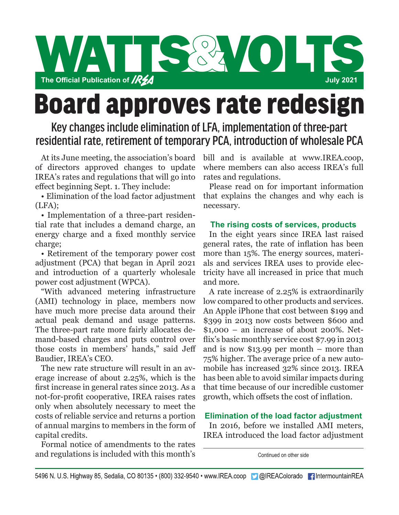

# **Board approves rate redesign**

# Key changes include elimination of LFA, implementation of three-part residential rate, retirement of temporary PCA, introduction of wholesale PCA

of directors approved changes to update IREA's rates and regulations that will go into effect beginning Sept. 1. They include:

• Elimination of the load factor adjustment  $(LFA)$ ;

• Implementation of a three-part residential rate that includes a demand charge, an energy charge and a fixed monthly service charge;

• Retirement of the temporary power cost adjustment (PCA) that began in April 2021 and introduction of a quarterly wholesale power cost adjustment (WPCA).

"With advanced metering infrastructure (AMI) technology in place, members now have much more precise data around their actual peak demand and usage patterns. The three-part rate more fairly allocates demand-based charges and puts control over those costs in members' hands," said Jeff Baudier, IREA's CEO.

The new rate structure will result in an average increase of about 2.25%, which is the first increase in general rates since 2013. As a not-for-profit cooperative, IREA raises rates only when absolutely necessary to meet the costs of reliable service and returns a portion of annual margins to members in the form of capital credits.

Formal notice of amendments to the rates and regulations is included with this month's

At its June meeting, the association's board bill and is available at www.IREA.coop, where members can also access IREA's full rates and regulations.

Please read on for important information that explains the changes and why each is necessary.

# **The rising costs of services, products**

In the eight years since IREA last raised general rates, the rate of inflation has been more than 15%. The energy sources, materials and services IREA uses to provide electricity have all increased in price that much and more.

A rate increase of 2.25% is extraordinarily low compared to other products and services. An Apple iPhone that cost between \$199 and \$399 in 2013 now costs between \$600 and  $$1,000 - a$ n increase of about 200%. Netflix's basic monthly service cost \$7.99 in 2013 and is now \$13.99 per month – more than 75% higher. The average price of a new automobile has increased 32% since 2013. IREA has been able to avoid similar impacts during that time because of our incredible customer growth, which offsets the cost of inflation.

# **Elimination of the load factor adjustment**

In 2016, before we installed AMI meters, IREA introduced the load factor adjustment

Continued on other side